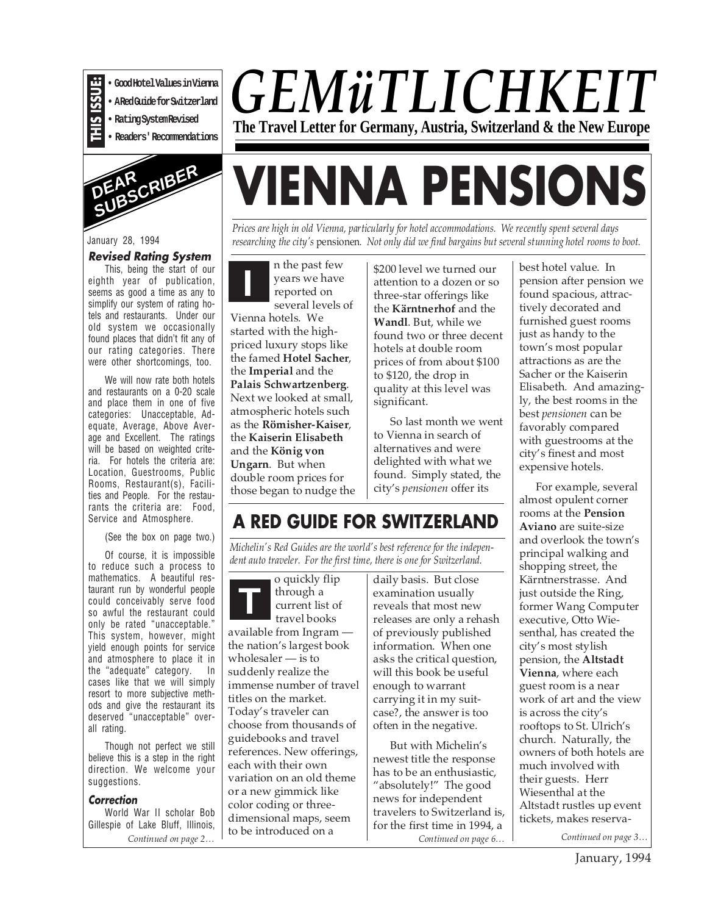

**• Rating System Revised**

**• Readers' Recommendations**



#### January 28, 1994

#### **Revised Rating System**

This, being the start of our eighth year of publication, seems as good a time as any to simplify our system of rating hotels and restaurants. Under our old system we occasionally found places that didn't fit any of our rating categories. There were other shortcomings, too.

We will now rate both hotels and restaurants on a 0-20 scale and place them in one of five categories: Unacceptable, Adequate, Average, Above Average and Excellent. The ratings will be based on weighted criteria. For hotels the criteria are: Location, Guestrooms, Public Rooms, Restaurant(s), Facilities and People. For the restaurants the criteria are: Food, Service and Atmosphere.

(See the box on page two.)

Of course, it is impossible to reduce such a process to mathematics. A beautiful restaurant run by wonderful people could conceivably serve food so awful the restaurant could only be rated "unacceptable." This system, however, might yield enough points for service and atmosphere to place it in the "adequate" category. In cases like that we will simply resort to more subjective methods and give the restaurant its deserved "unacceptable" overall rating. **Example 1**<br> **• Good Hotel Values in Vienna**<br>
• **Racigoisers • Recommendations**<br>
• **Readers' Recommendations**<br> **FRICALE CONSUE: FRICALE CONSUE:** This, being the start of our eighth year of publication, seems a good a t

Though not perfect we still believe this is a step in the right direction. We welcome your suggestions.

#### **Correction**

World War II scholar Bob Gillespie of Lake Bluff, Illinois, *Continued on page 2…*

### *GEMüTLICHKEIT* **The Travel Letter for Germany, Austria, Switzerland & the New Europe**

# **VIENNA PENSIONS**

*Prices are high in old Vienna, particularly for hotel accommodations. We recently spent several days researching the city's* pensionen*. Not only did we find bargains but several stunning hotel rooms to boot.*

n the past few years we have reported on several levels of **I**

Vienna hotels. We started with the highpriced luxury stops like the famed **Hotel Sacher**, the **Imperial** and the **Palais Schwartzenberg**. Next we looked at small, atmospheric hotels such as the **Römisher-Kaiser**, the **Kaiserin Elisabeth** and the **König von Ungarn**. But when double room prices for those began to nudge the \$200 level we turned our attention to a dozen or so three-star offerings like the **Kärntnerhof** and the **Wandl**. But, while we found two or three decent hotels at double room prices of from about \$100 to \$120, the drop in quality at this level was significant.

So last month we went to Vienna in search of alternatives and were delighted with what we found. Simply stated, the city's *pensionen* offer its

#### **A RED GUIDE FOR SWITZERLAND**

*Michelin's Red Guides are the world's best reference for the independent auto traveler. For the first time, there is one for Switzerland.*

**T** o quickly flip through a current list of travel books available from Ingram the nation's largest book wholesaler — is to suddenly realize the immense number of travel titles on the market. Today's traveler can choose from thousands of guidebooks and travel references. New offerings, each with their own variation on an old theme or a new gimmick like color coding or threedimensional maps, seem to be introduced on a

daily basis. But close examination usually reveals that most new releases are only a rehash of previously published information. When one asks the critical question, will this book be useful enough to warrant carrying it in my suitcase?, the answer is too often in the negative.

But with Michelin's newest title the response has to be an enthusiastic, "absolutely!" The good news for independent travelers to Switzerland is, for the first time in 1994, a

best hotel value. In pension after pension we found spacious, attractively decorated and furnished guest rooms just as handy to the town's most popular attractions as are the Sacher or the Kaiserin Elisabeth. And amazingly, the best rooms in the best *pensionen* can be favorably compared with guestrooms at the city's finest and most expensive hotels.

For example, several almost opulent corner rooms at the **Pension Aviano** are suite-size and overlook the town's principal walking and shopping street, the Kärntnerstrasse. And just outside the Ring, former Wang Computer executive, Otto Wiesenthal, has created the city's most stylish pension, the **Altstadt Vienna**, where each guest room is a near work of art and the view is across the city's rooftops to St. Ulrich's church. Naturally, the owners of both hotels are much involved with their guests. Herr Wiesenthal at the Altstadt rustles up event tickets, makes reserva-

*Continued on page 6… Continued on page 3…*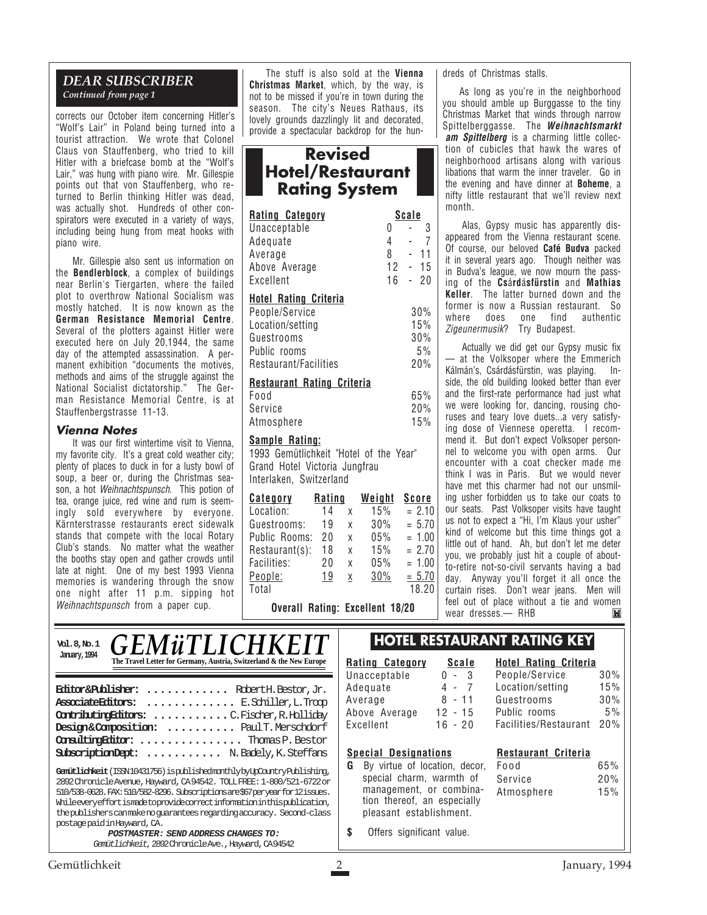#### *DEAR SUBSCRIBER Continued from page 1*

corrects our October item concerning Hitler's "Wolf's Lair" in Poland being turned into a tourist attraction. We wrote that Colonel Claus von Stauffenberg, who tried to kill Hitler with a briefcase bomb at the "Wolf's Lair," was hung with piano wire. Mr. Gillespie points out that von Stauffenberg, who returned to Berlin thinking Hitler was dead, was actually shot. Hundreds of other conspirators were executed in a variety of ways, including being hung from meat hooks with piano wire.

Mr. Gillespie also sent us information on the **Bendlerblock**, a complex of buildings near Berlin's Tiergarten, where the failed plot to overthrow National Socialism was mostly hatched. It is now known as the **German Resistance Memorial Centre**. Several of the plotters against Hitler were executed here on July 20,1944, the same day of the attempted assassination. A permanent exhibition "documents the motives, methods and aims of the struggle against the National Socialist dictatorship." The German Resistance Memorial Centre, is at Stauffenbergstrasse 11-13.

#### **Vienna Notes**

It was our first wintertime visit to Vienna, my favorite city. It's a great cold weather city; plenty of places to duck in for a lusty bowl of soup, a beer or, during the Christmas season, a hot Weihnachtspunsch. This potion of tea, orange juice, red wine and rum is seemingly sold everywhere by everyone. Kärnterstrasse restaurants erect sidewalk stands that compete with the local Rotary Club's stands. No matter what the weather the booths stay open and gather crowds until late at night. One of my best 1993 Vienna memories is wandering through the snow one night after 11 p.m. sipping hot Weihnachtspunsch from a paper cup.

The stuff is also sold at the **Vienna Christmas Market**, which, by the way, is not to be missed if you're in town during the season. The city's Neues Rathaus, its lovely grounds dazzlingly lit and decorated, provide a spectacular backdrop for the hun-

#### **Revised Hotel/Restaurant Rating System**

| <b>Rating Category</b>            |   | <u>Scale</u> |
|-----------------------------------|---|--------------|
| Unacceptable                      | 0 | 3            |
| Adequate                          | 4 | 7            |
| Average                           | 8 | - 11         |
| Above Average                     |   | $12 - 15$    |
| Excellent                         |   | $16 - 20$    |
| <b>Hotel Rating Criteria</b>      |   |              |
| People/Service                    |   | 30%          |
| Location/setting                  |   | 15%          |
| Guestrooms                        |   | 30%          |
| Public rooms                      |   | 5%           |
| Restaurant/Facilities             |   | 20%          |
| <b>Restaurant Rating Criteria</b> |   |              |
| Food                              |   | 65%          |
| Service                           |   | 20%          |

#### service Atmosphere 15%

#### **Sample Rating:**

1993 Gemütlichkeit "Hotel of the Year" Grand Hotel Victoria Jungfrau Interlaken, Switzerland

| <b>Category</b> | Rating |   | <u>Weight</u> | <b>Score</b> |
|-----------------|--------|---|---------------|--------------|
| Location:       | 14     | X | 15%           | $= 2.10$     |
| Guestrooms:     | 19     | χ | 30%           | $= 5.70$     |
| Public Rooms:   | 20     | X | 05%           | $= 1.00$     |
| Restaurant(s):  | 18     | χ | 15%           | $= 2.70$     |
| Facilities:     | 20     | χ | 05%           | $= 1.00$     |
| People:         | 19     | χ | 30%           | $= 5.70$     |
| Total           |        |   |               | 18.20        |

**Overall Rating: Excellent 18/20**

dreds of Christmas stalls.

As long as you're in the neighborhood you should amble up Burggasse to the tiny Christmas Market that winds through narrow Spittelberggasse. The **Weihnachtsmarkt am Spittelberg** is a charming little collection of cubicles that hawk the wares of neighborhood artisans along with various libations that warm the inner traveler. Go in the evening and have dinner at **Boheme**, a nifty little restaurant that we'll review next month.

Alas, Gypsy music has apparently disappeared from the Vienna restaurant scene. Of course, our beloved **Café Budva** packed it in several years ago. Though neither was in Budva's league, we now mourn the passing of the **Cs**á**rd**á**sfürstin** and **Mathias Keller**. The latter burned down and the former is now a Russian restaurant. So where does one find authentic Zigeunermusik? Try Budapest.

Actually we did get our Gypsy music fix — at the Volksoper where the Emmerich Kálmán's, Csárdásfürstin, was playing. Inside, the old building looked better than ever and the first-rate performance had just what we were looking for, dancing, rousing choruses and teary love duets...a very satisfying dose of Viennese operetta. I recommend it. But don't expect Volksoper personnel to welcome you with open arms. Our encounter with a coat checker made me think I was in Paris. But we would never have met this charmer had not our unsmiling usher forbidden us to take our coats to our seats. Past Volksoper visits have taught us not to expect a "Hi, I'm Klaus your usher" kind of welcome but this time things got a little out of hand. Ah, but don't let me deter you, we probably just hit a couple of aboutto-retire not-so-civil servants having a bad day. Anyway you'll forget it all once the curtain rises. Don't wear jeans. Men will feel out of place without a tie and women wear dresses.— RHB ы

**Hotel Rating Criteria**

#### **Gemütlichkeit** (ISSN 10431756) is published monthly by UpCountry Publishing, 2892 Chronicle Avenue, Hayward, CA 94542. TOLL FREE: 1-800/521-6722 or 510/538-0628. FAX: 510/582-8296. Subscriptions are \$67 per year for 12 issues. While every effort is made to provide correct information in this publication, the publishers can make no guarantees regarding accuracy. Second-class postage paid in Hayward, CA. **Editor & Publisher: ............** Robert H. Bestor, Jr. **Associate Editors: .............** E. Schiller, L. Troop **Contributing Editors: ...........**C. Fischer, R. Holliday **Design & Composition: ..........** Paul T. Merschdorf **Consulting Editor: ...............** Thomas P. Bestor **Subscription Dept: ...........** N. Badely, K. Steffans **Vol. 8, No. January, 1994** 6 *GEMüTLICHK* **The Travel Letter for Germany, Austria, Switzerland & the New Europe**  $\mathbb{L}$ **Rating Category Scale**  $Unacceptable$ Adequate Average Above Aver Excellent **Special Designations G** By virtue special manager tion the pleasant

**POSTMASTER: SEND ADDRESS CHANGES TO:** Gemütlichkeit, 2892 Chronicle Ave., Hayward, CA 94542

#### **HOTEL RESTAURANT RATING KEY**

| <u>нц ойгодогү</u>                                                                                                                                                  | <b></b>   |                                                      |                   |
|---------------------------------------------------------------------------------------------------------------------------------------------------------------------|-----------|------------------------------------------------------|-------------------|
| cceptable                                                                                                                                                           | - 3<br>0  | People/Service                                       | 30%               |
| quate                                                                                                                                                               | $4 - 7$   | Location/setting                                     | 15%               |
| rage                                                                                                                                                                | 8 - 11    | Guestrooms                                           | 30%               |
| ve Average                                                                                                                                                          | $12 - 15$ | Public rooms                                         | $5\%$             |
| ellent                                                                                                                                                              | $16 - 20$ | Facilities/Restaurant                                | 20%               |
| cial Designations<br>By virtue of location, decor,<br>special charm, warmth of<br>management, or combina-<br>tion thereof, an especially<br>pleasant establishment. |           | Restaurant Criteria<br>Food<br>Service<br>Atmosphere | 65%<br>20%<br>15% |
| Offers significant value.                                                                                                                                           |           |                                                      |                   |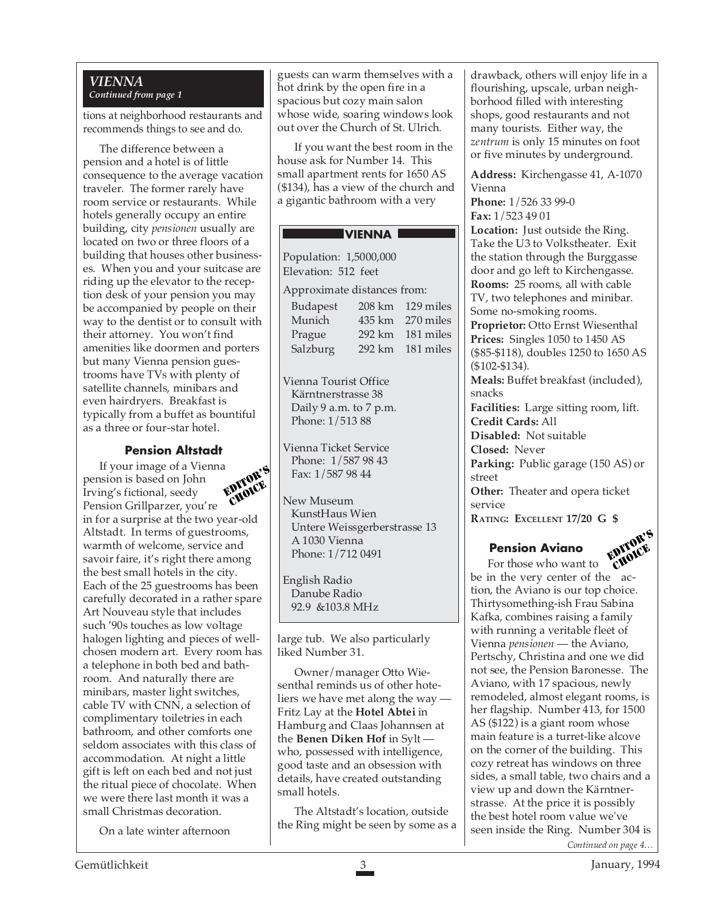#### *VIENNA Continued from page 1*

tions at neighborhood restaurants and recommends things to see and do.

The difference between a pension and a hotel is of little consequence to the average vacation traveler. The former rarely have room service or restaurants. While hotels generally occupy an entire building, city *pensionen* usually are located on two or three floors of a building that houses other businesses. When you and your suitcase are riding up the elevator to the reception desk of your pension you may be accompanied by people on their way to the dentist or to consult with their attorney. You won't find amenities like doormen and porters but many Vienna pension guestrooms have TVs with plenty of satellite channels, minibars and even hairdryers. Breakfast is typically from a buffet as bountiful as a three or four-star hotel.

#### **Pension Altstadt**

If your image of a Vienna pension is based on John Irving's fictional, seedy Pension Grillparzer, you're in for a surprise at the two year-old Altstadt. In terms of guestrooms, warmth of welcome, service and savoir faire, it's right there among the best small hotels in the city. Each of the 25 guestrooms has been carefully decorated in a rather spare Art Nouveau style that includes such '90s touches as low voltage halogen lighting and pieces of wellchosen modern art. Every room has a telephone in both bed and bathroom. And naturally there are minibars, master light switches, cable TV with CNN, a selection of complimentary toiletries in each bathroom, and other comforts one seldom associates with this class of accommodation. At night a little gift is left on each bed and not just the ritual piece of chocolate. When we were there last month it was a small Christmas decoration. EDITOR'S CHOICE

On a late winter afternoon

guests can warm themselves with a hot drink by the open fire in a spacious but cozy main salon whose wide, soaring windows look out over the Church of St. Ulrich.

If you want the best room in the house ask for Number 14. This small apartment rents for 1650 AS (\$134), has a view of the church and a gigantic bathroom with a very

#### **VIENNA**

| Population: 1,5000,000      |                             |
|-----------------------------|-----------------------------|
| Elevation: 512 feet         |                             |
| Approximate distances from: |                             |
| <b>Budapest</b>             | $208 \mathrm{km}$ 129 miles |
| Munich                      | 435 km 270 miles            |

| Prague                | 292 km 181 miles |
|-----------------------|------------------|
| Salzburg              | 292 km 181 miles |
| Vienna Tourist Office |                  |

Kärntnerstrasse 38 Daily 9 a.m. to 7 p.m. Phone: 1/513 88

Vienna Ticket Service Phone: 1/587 98 43 Fax: 1/587 98 44

New Museum KunstHaus Wien Untere Weissgerberstrasse 13 A 1030 Vienna Phone: 1/712 0491

English Radio Danube Radio 92.9 &103.8 MHz

large tub. We also particularly liked Number 31.

Owner/manager Otto Wiesenthal reminds us of other hoteliers we have met along the way — Fritz Lay at the **Hotel Abtei** in Hamburg and Claas Johannsen at the **Benen Diken Hof** in Sylt who, possessed with intelligence, good taste and an obsession with details, have created outstanding small hotels.

The Altstadt's location, outside the Ring might be seen by some as a drawback, others will enjoy life in a flourishing, upscale, urban neighborhood filled with interesting shops, good restaurants and not many tourists. Either way, the *zentrum* is only 15 minutes on foot or five minutes by underground.

**Address:** Kirchengasse 41, A-1070 Vienna

**Phone:** 1/526 33 99-0 **Fax:** 1/523 49 01

**Location:** Just outside the Ring. Take the U3 to Volkstheater. Exit the station through the Burggasse door and go left to Kirchengasse. **Rooms:** 25 rooms, all with cable TV, two telephones and minibar. Some no-smoking rooms.

**Proprietor:** Otto Ernst Wiesenthal **Prices:** Singles 1050 to 1450 AS (\$85-\$118), doubles 1250 to 1650 AS (\$102-\$134).

**Meals:** Buffet breakfast (included), snacks

**Facilities:** Large sitting room, lift. **Credit Cards:** All

**Disabled:** Not suitable

**Closed:** Never

**Parking:** Public garage (150 AS) or street

**Other:** Theater and opera ticket service

**RATING: EXCELLENT 17/20 G \$**

#### **Pension Aviano**



For those who want to be in the very center of the action, the Aviano is our top choice. Thirtysomething-ish Frau Sabina Kafka, combines raising a family with running a veritable fleet of Vienna *pensionen* — the Aviano, Pertschy, Christina and one we did not see, the Pension Baronesse. The Aviano, with 17 spacious, newly remodeled, almost elegant rooms, is her flagship. Number 413, for 1500 AS (\$122) is a giant room whose main feature is a turret-like alcove on the corner of the building. This cozy retreat has windows on three sides, a small table, two chairs and a view up and down the Kärntnerstrasse. At the price it is possibly the best hotel room value we've seen inside the Ring. Number 304 is *Continued on page 4…*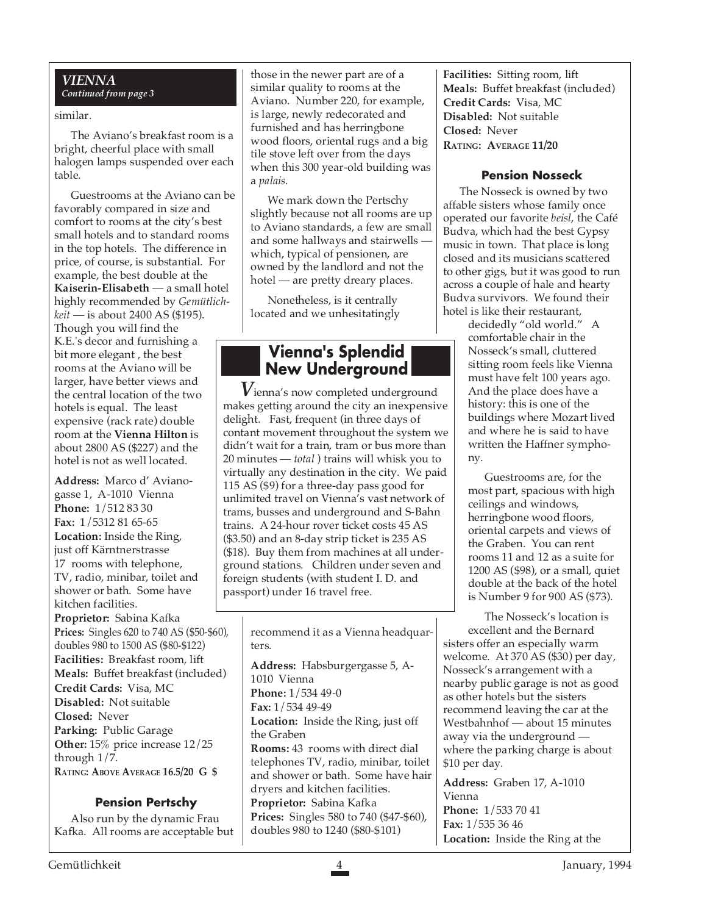#### *VIENNA Continued from page 3*

#### similar.

The Aviano's breakfast room is a bright, cheerful place with small halogen lamps suspended over each table.

Guestrooms at the Aviano can be favorably compared in size and comfort to rooms at the city's best small hotels and to standard rooms in the top hotels. The difference in price, of course, is substantial. For example, the best double at the **Kaiserin-Elisabeth** — a small hotel highly recommended by *Gemütlichkeit* — is about 2400 AS (\$195). Though you will find the K.E.'s decor and furnishing a bit more elegant , the best rooms at the Aviano will be larger, have better views and the central location of the two hotels is equal. The least expensive (rack rate) double room at the **Vienna Hilton** is about 2800 AS (\$227) and the hotel is not as well located.

**Address:** Marco d' Avianogasse 1, A-1010 Vienna **Phone:** 1/512 83 30 **Fax:** 1/5312 81 65-65 **Location:** Inside the Ring, just off Kärntnerstrasse 17 rooms with telephone, TV, radio, minibar, toilet and shower or bath. Some have kitchen facilities.

**Proprietor:** Sabina Kafka **Prices:** Singles 620 to 740 AS (\$50-\$60), doubles 980 to 1500 AS (\$80-\$122) **Facilities:** Breakfast room, lift **Meals:** Buffet breakfast (included) **Credit Cards:** Visa, MC **Disabled:** Not suitable **Closed:** Never **Parking:** Public Garage **Other:** 15% price increase 12/25 through 1/7. **RATING: ABOVE AVERAGE 16.5/20 G \$**

#### **Pension Pertschy**

Also run by the dynamic Frau Kafka. All rooms are acceptable but those in the newer part are of a similar quality to rooms at the Aviano. Number 220, for example, is large, newly redecorated and furnished and has herringbone wood floors, oriental rugs and a big tile stove left over from the days when this 300 year-old building was a *palais*.

We mark down the Pertschy slightly because not all rooms are up to Aviano standards, a few are small and some hallways and stairwells which, typical of pensionen, are owned by the landlord and not the hotel — are pretty dreary places.

Nonetheless, is it centrally located and we unhesitatingly

#### **Vienna's Splendid New Underground**

*V*ienna's now completed underground makes getting around the city an inexpensive delight. Fast, frequent (in three days of contant movement throughout the system we didn't wait for a train, tram or bus more than 20 minutes — *total* ) trains will whisk you to virtually any destination in the city. We paid 115 AS (\$9) for a three-day pass good for unlimited travel on Vienna's vast network of trams, busses and underground and S-Bahn trains. A 24-hour rover ticket costs 45 AS (\$3.50) and an 8-day strip ticket is 235 AS (\$18). Buy them from machines at all underground stations. Children under seven and foreign students (with student I. D. and passport) under 16 travel free.

| recommend it as a Vienna headquar-<br>ters. |
|---------------------------------------------|
| Address: Habsburgergasse 5, A-              |
| 1010 Vienna                                 |
| <b>Phone:</b> $1/53449-0$                   |
| Fax: 1/534 49-49                            |
| <b>Location:</b> Inside the Ring, just off  |
| the Graben                                  |
| <b>Rooms:</b> 43 rooms with direct dial     |
| telephones TV, radio, minibar, toilet       |
| and shower or bath. Some have hair          |
| dryers and kitchen facilities.              |
| Proprietor: Sabina Kafka                    |
| Prices: Singles 580 to 740 (\$47-\$60),     |
| doubles 980 to 1240 (\$80-\$101)            |

**Facilities:** Sitting room, lift **Meals:** Buffet breakfast (included) **Credit Cards:** Visa, MC **Disabled:** Not suitable **Closed:** Never **RATING: AVERAGE 11/20**

#### **Pension Nosseck**

The Nosseck is owned by two affable sisters whose family once operated our favorite *beisl*, the Café Budva, which had the best Gypsy music in town. That place is long closed and its musicians scattered to other gigs, but it was good to run across a couple of hale and hearty Budva survivors. We found their hotel is like their restaurant,

> decidedly "old world." A comfortable chair in the Nosseck's small, cluttered sitting room feels like Vienna must have felt 100 years ago. And the place does have a history: this is one of the buildings where Mozart lived and where he is said to have written the Haffner symphony.

Guestrooms are, for the most part, spacious with high ceilings and windows, herringbone wood floors, oriental carpets and views of the Graben. You can rent rooms 11 and 12 as a suite for 1200 AS (\$98), or a small, quiet double at the back of the hotel is Number 9 for 900 AS (\$73).

The Nosseck's location is excellent and the Bernard sisters offer an especially warm welcome. At 370 AS (\$30) per day, Nosseck's arrangement with a nearby public garage is not as good as other hotels but the sisters recommend leaving the car at the Westbahnhof — about 15 minutes away via the underground where the parking charge is about \$10 per day.

 $\mathbf{L}$ 

**Address:** Graben 17, A-1010 Vienna **Phone:** 1/533 70 41 **Fax:** 1/535 36 46 **Location:** Inside the Ring at the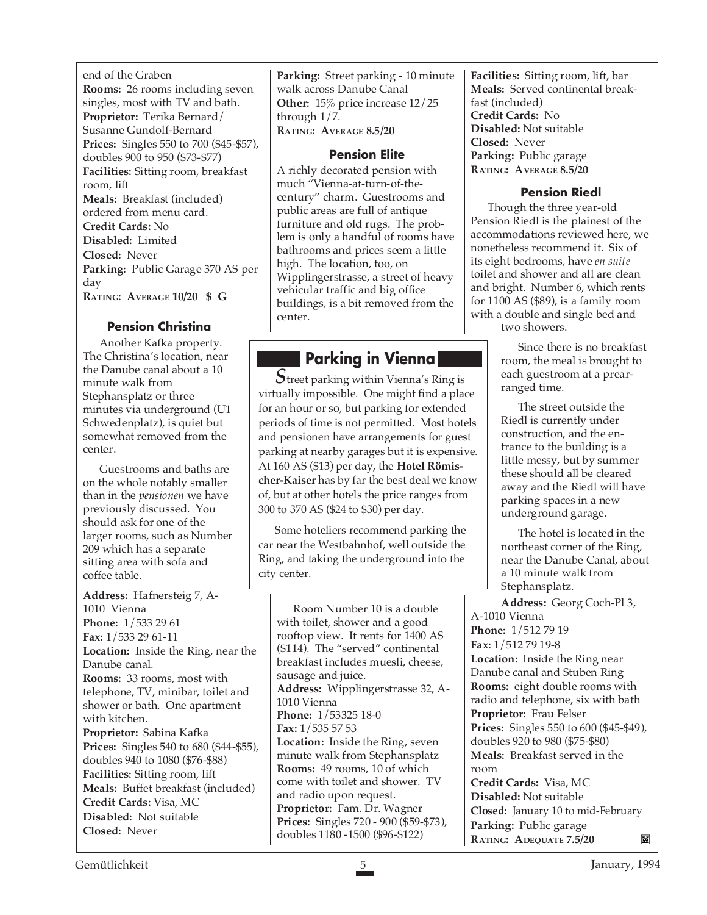end of the Graben **Rooms:** 26 rooms including seven singles, most with TV and bath. **Proprietor:** Terika Bernard/ Susanne Gundolf-Bernard **Prices:** Singles 550 to 700 (\$45-\$57), doubles 900 to 950 (\$73-\$77) **Facilities:** Sitting room, breakfast room, lift **Meals:** Breakfast (included) ordered from menu card. **Credit Cards:** No **Disabled:** Limited **Closed:** Never **Parking:** Public Garage 370 AS per day **RATING: AVERAGE 10/20 \$ G**

#### **Pension Christina**

Another Kafka property. The Christina's location, near the Danube canal about a 10 minute walk from Stephansplatz or three minutes via underground (U1 Schwedenplatz), is quiet but somewhat removed from the center.

Guestrooms and baths are on the whole notably smaller than in the *pensionen* we have previously discussed. You should ask for one of the larger rooms, such as Number 209 which has a separate sitting area with sofa and coffee table.

**Address:** Hafnersteig 7, A-1010 Vienna **Phone:** 1/533 29 61 **Fax:** 1/533 29 61-11 **Location:** Inside the Ring, near the Danube canal. **Rooms:** 33 rooms, most with telephone, TV, minibar, toilet and shower or bath. One apartment with kitchen. **Proprietor:** Sabina Kafka **Prices:** Singles 540 to 680 (\$44-\$55), doubles 940 to 1080 (\$76-\$88) **Facilities:** Sitting room, lift **Meals:** Buffet breakfast (included) **Credit Cards:** Visa, MC **Disabled:** Not suitable **Closed:** Never

**Parking:** Street parking - 10 minute walk across Danube Canal **Other:** 15% price increase 12/25 through 1/7. **RATING: AVERAGE 8.5/20**

#### **Pension Elite**

A richly decorated pension with much "Vienna-at-turn-of-thecentury" charm. Guestrooms and public areas are full of antique furniture and old rugs. The problem is only a handful of rooms have bathrooms and prices seem a little high. The location, too, on Wipplingerstrasse, a street of heavy vehicular traffic and big office buildings, is a bit removed from the center.

#### **Parking in Vienna**

*S*treet parking within Vienna's Ring is virtually impossible. One might find a place for an hour or so, but parking for extended periods of time is not permitted. Most hotels and pensionen have arrangements for guest parking at nearby garages but it is expensive. At 160 AS (\$13) per day, the **Hotel Römischer-Kaiser** has by far the best deal we know of, but at other hotels the price ranges from 300 to 370 AS (\$24 to \$30) per day.

Some hoteliers recommend parking the car near the Westbahnhof, well outside the Ring, and taking the underground into the city center.

Room Number 10 is a double with toilet, shower and a good rooftop view. It rents for 1400 AS (\$114). The "served" continental breakfast includes muesli, cheese, sausage and juice. **Address:** Wipplingerstrasse 32, A-1010 Vienna **Phone:** 1/53325 18-0 **Fax:** 1/535 57 53 **Location:** Inside the Ring, seven minute walk from Stephansplatz **Rooms:** 49 rooms, 10 of which come with toilet and shower. TV and radio upon request. **Proprietor:** Fam. Dr. Wagner **Prices:** Singles 720 - 900 (\$59-\$73), doubles 1180 -1500 (\$96-\$122)

**Facilities:** Sitting room, lift, bar **Meals:** Served continental breakfast (included) **Credit Cards:** No **Disabled:** Not suitable **Closed:** Never **Parking:** Public garage **RATING: AVERAGE 8.5/20**

#### **Pension Riedl**

Though the three year-old Pension Riedl is the plainest of the accommodations reviewed here, we nonetheless recommend it. Six of its eight bedrooms, have *en suite* toilet and shower and all are clean and bright. Number 6, which rents for 1100 AS (\$89), is a family room with a double and single bed and two showers.

> Since there is no breakfast room, the meal is brought to each guestroom at a prearranged time.

> The street outside the Riedl is currently under construction, and the entrance to the building is a little messy, but by summer these should all be cleared away and the Riedl will have parking spaces in a new underground garage.

The hotel is located in the northeast corner of the Ring, near the Danube Canal, about a 10 minute walk from Stephansplatz.

**Address:** Georg Coch-Pl 3, A-1010 Vienna **Phone:** 1/512 79 19 **Fax:** 1/512 79 19-8

**Location:** Inside the Ring near Danube canal and Stuben Ring **Rooms:** eight double rooms with radio and telephone, six with bath **Proprietor:** Frau Felser **Prices:** Singles 550 to 600 (\$45-\$49), doubles 920 to 980 (\$75-\$80) **Meals:** Breakfast served in the room

**Credit Cards:** Visa, MC **Disabled:** Not suitable **Closed:** January 10 to mid-February **Parking:** Public garage **RATING: ADEQUATE 7.5/20** M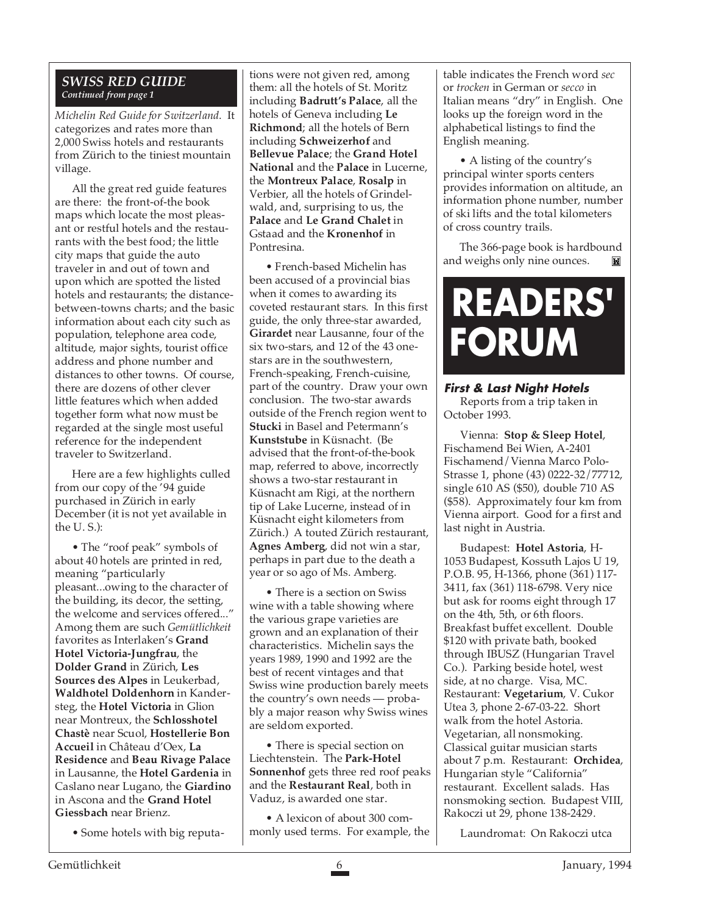#### *SWISS RED GUIDE Continued from page 1*

*Michelin Red Guide for Switzerland*. It categorizes and rates more than 2,000 Swiss hotels and restaurants from Zürich to the tiniest mountain village.

All the great red guide features are there: the front-of-the book maps which locate the most pleasant or restful hotels and the restaurants with the best food; the little city maps that guide the auto traveler in and out of town and upon which are spotted the listed hotels and restaurants; the distancebetween-towns charts; and the basic information about each city such as population, telephone area code, altitude, major sights, tourist office address and phone number and distances to other towns. Of course, there are dozens of other clever little features which when added together form what now must be regarded at the single most useful reference for the independent traveler to Switzerland.

Here are a few highlights culled from our copy of the '94 guide purchased in Zürich in early December (it is not yet available in the U. S.):

• The "roof peak" symbols of about 40 hotels are printed in red, meaning "particularly pleasant...owing to the character of the building, its decor, the setting, the welcome and services offered..." Among them are such *Gemütlichkeit* favorites as Interlaken's **Grand Hotel Victoria-Jungfrau**, the **Dolder Grand** in Zürich, **Les Sources des Alpes** in Leukerbad, **Waldhotel Doldenhorn** in Kandersteg, the **Hotel Victoria** in Glion near Montreux, the **Schlosshotel Chastè** near Scuol, **Hostellerie Bon Accueil** in Château d'Oex, **La Residence** and **Beau Rivage Palace** in Lausanne, the **Hotel Gardenia** in Caslano near Lugano, the **Giardino** in Ascona and the **Grand Hotel Giessbach** near Brienz.

• Some hotels with big reputa-

tions were not given red, among them: all the hotels of St. Moritz including **Badrutt's Palace**, all the hotels of Geneva including **Le Richmond**; all the hotels of Bern including **Schweizerhof** and **Bellevue Palace**; the **Grand Hotel National** and the **Palace** in Lucerne, the **Montreux Palace**, **Rosalp** in Verbier, all the hotels of Grindelwald, and, surprising to us, the **Palace** and **Le Grand Chalet** in Gstaad and the **Kronenhof** in Pontresina.

• French-based Michelin has been accused of a provincial bias when it comes to awarding its coveted restaurant stars. In this first guide, the only three-star awarded, **Girardet** near Lausanne, four of the six two-stars, and 12 of the 43 onestars are in the southwestern, French-speaking, French-cuisine, part of the country. Draw your own conclusion. The two-star awards outside of the French region went to **Stucki** in Basel and Petermann's **Kunststube** in Küsnacht. (Be advised that the front-of-the-book map, referred to above, incorrectly shows a two-star restaurant in Küsnacht am Rigi, at the northern tip of Lake Lucerne, instead of in Küsnacht eight kilometers from Zürich.) A touted Zürich restaurant, **Agnes Amberg**, did not win a star, perhaps in part due to the death a year or so ago of Ms. Amberg.

• There is a section on Swiss wine with a table showing where the various grape varieties are grown and an explanation of their characteristics. Michelin says the years 1989, 1990 and 1992 are the best of recent vintages and that Swiss wine production barely meets the country's own needs — probably a major reason why Swiss wines are seldom exported.

• There is special section on Liechtenstein. The **Park-Hotel Sonnenhof** gets three red roof peaks and the **Restaurant Real**, both in Vaduz, is awarded one star.

• A lexicon of about 300 commonly used terms. For example, the

table indicates the French word *sec* or *trocken* in German or *secco* in Italian means "dry" in English. One looks up the foreign word in the alphabetical listings to find the English meaning.

• A listing of the country's principal winter sports centers provides information on altitude, an information phone number, number of ski lifts and the total kilometers of cross country trails.

The 366-page book is hardbound and weighs only nine ounces.

## **READERS' FORUM**

#### **First & Last Night Hotels** Reports from a trip taken in

October 1993.

Vienna: **Stop & Sleep Hotel**, Fischamend Bei Wien, A-2401 Fischamend/Vienna Marco Polo-Strasse 1, phone (43) 0222-32/77712, single 610 AS (\$50), double 710 AS (\$58). Approximately four km from Vienna airport. Good for a first and last night in Austria.

Budapest: **Hotel Astoria**, H-1053 Budapest, Kossuth Lajos U 19, P.O.B. 95, H-1366, phone (361) 117- 3411, fax (361) 118-6798. Very nice but ask for rooms eight through 17 on the 4th, 5th, or 6th floors. Breakfast buffet excellent. Double \$120 with private bath, booked through IBUSZ (Hungarian Travel Co.). Parking beside hotel, west side, at no charge. Visa, MC. Restaurant: **Vegetarium**, V. Cukor Utea 3, phone 2-67-03-22. Short walk from the hotel Astoria. Vegetarian, all nonsmoking. Classical guitar musician starts about 7 p.m. Restaurant: **Orchidea**, Hungarian style "California" restaurant. Excellent salads. Has nonsmoking section. Budapest VIII, Rakoczi ut 29, phone 138-2429.

Laundromat: On Rakoczi utca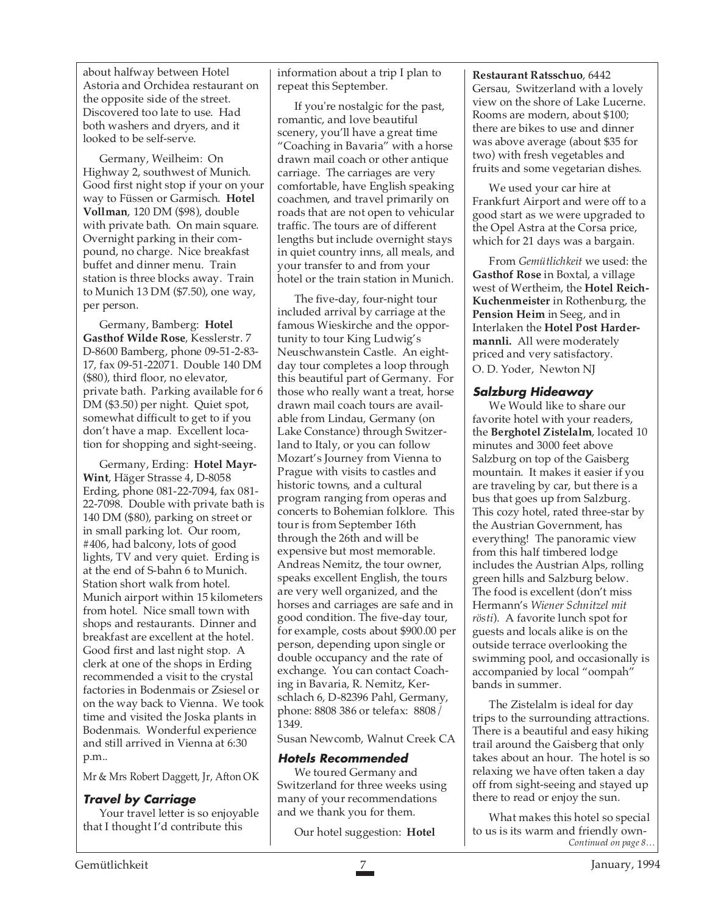about halfway between Hotel Astoria and Orchidea restaurant on the opposite side of the street. Discovered too late to use. Had both washers and dryers, and it looked to be self-serve.

Germany, Weilheim: On Highway 2, southwest of Munich. Good first night stop if your on your way to Füssen or Garmisch. **Hotel Vollman**, 120 DM (\$98), double with private bath. On main square. Overnight parking in their compound, no charge. Nice breakfast buffet and dinner menu. Train station is three blocks away. Train to Munich 13 DM (\$7.50), one way, per person.

Germany, Bamberg: **Hotel Gasthof Wilde Rose**, Kesslerstr. 7 D-8600 Bamberg, phone 09-51-2-83- 17, fax 09-51-22071. Double 140 DM (\$80), third floor, no elevator, private bath. Parking available for 6 DM (\$3.50) per night. Quiet spot, somewhat difficult to get to if you don't have a map. Excellent location for shopping and sight-seeing.

Germany, Erding: **Hotel Mayr-Wint**, Häger Strasse 4, D-8058 Erding, phone 081-22-7094, fax 081- 22-7098. Double with private bath is 140 DM (\$80), parking on street or in small parking lot. Our room, #406, had balcony, lots of good lights, TV and very quiet. Erding is at the end of S-bahn 6 to Munich. Station short walk from hotel. Munich airport within 15 kilometers from hotel. Nice small town with shops and restaurants. Dinner and breakfast are excellent at the hotel. Good first and last night stop. A clerk at one of the shops in Erding recommended a visit to the crystal factories in Bodenmais or Zsiesel or on the way back to Vienna. We took time and visited the Joska plants in Bodenmais. Wonderful experience and still arrived in Vienna at 6:30 p.m..

Mr & Mrs Robert Daggett, Jr, Afton OK

#### **Travel by Carriage**

Your travel letter is so enjoyable that I thought I'd contribute this

information about a trip I plan to repeat this September.

If you're nostalgic for the past, romantic, and love beautiful scenery, you'll have a great time "Coaching in Bavaria" with a horse drawn mail coach or other antique carriage. The carriages are very comfortable, have English speaking coachmen, and travel primarily on roads that are not open to vehicular traffic. The tours are of different lengths but include overnight stays in quiet country inns, all meals, and your transfer to and from your hotel or the train station in Munich.

The five-day, four-night tour included arrival by carriage at the famous Wieskirche and the opportunity to tour King Ludwig's Neuschwanstein Castle. An eightday tour completes a loop through this beautiful part of Germany. For those who really want a treat, horse drawn mail coach tours are available from Lindau, Germany (on Lake Constance) through Switzerland to Italy, or you can follow Mozart's Journey from Vienna to Prague with visits to castles and historic towns, and a cultural program ranging from operas and concerts to Bohemian folklore. This tour is from September 16th through the 26th and will be expensive but most memorable. Andreas Nemitz, the tour owner, speaks excellent English, the tours are very well organized, and the horses and carriages are safe and in good condition. The five-day tour, for example, costs about \$900.00 per person, depending upon single or double occupancy and the rate of exchange. You can contact Coaching in Bavaria, R. Nemitz, Kerschlach 6, D-82396 Pahl, Germany, phone: 8808 386 or telefax: 8808/ 1349.

Susan Newcomb, Walnut Creek CA

#### **Hotels Recommended**

We toured Germany and Switzerland for three weeks using many of your recommendations and we thank you for them.

Our hotel suggestion: **Hotel**

**Restaurant Ratsschuo**, 6442 Gersau, Switzerland with a lovely view on the shore of Lake Lucerne. Rooms are modern, about \$100; there are bikes to use and dinner was above average (about \$35 for two) with fresh vegetables and fruits and some vegetarian dishes.

We used your car hire at Frankfurt Airport and were off to a good start as we were upgraded to the Opel Astra at the Corsa price, which for 21 days was a bargain.

From *Gemütlichkeit* we used: the **Gasthof Rose** in Boxtal, a village west of Wertheim, the **Hotel Reich-Kuchenmeister** in Rothenburg, the **Pension Heim** in Seeg, and in Interlaken the **Hotel Post Hardermannli.** All were moderately priced and very satisfactory. O. D. Yoder, Newton NJ

#### **Salzburg Hideaway**

We Would like to share our favorite hotel with your readers, the **Berghotel Zistelalm**, located 10 minutes and 3000 feet above Salzburg on top of the Gaisberg mountain. It makes it easier if you are traveling by car, but there is a bus that goes up from Salzburg. This cozy hotel, rated three-star by the Austrian Government, has everything! The panoramic view from this half timbered lodge includes the Austrian Alps, rolling green hills and Salzburg below. The food is excellent (don't miss Hermann's *Wiener Schnitzel mit rösti*). A favorite lunch spot for guests and locals alike is on the outside terrace overlooking the swimming pool, and occasionally is accompanied by local "oompah" bands in summer.

The Zistelalm is ideal for day trips to the surrounding attractions. There is a beautiful and easy hiking trail around the Gaisberg that only takes about an hour. The hotel is so relaxing we have often taken a day off from sight-seeing and stayed up there to read or enjoy the sun.

*Continued on page 8…* What makes this hotel so special to us is its warm and friendly own-